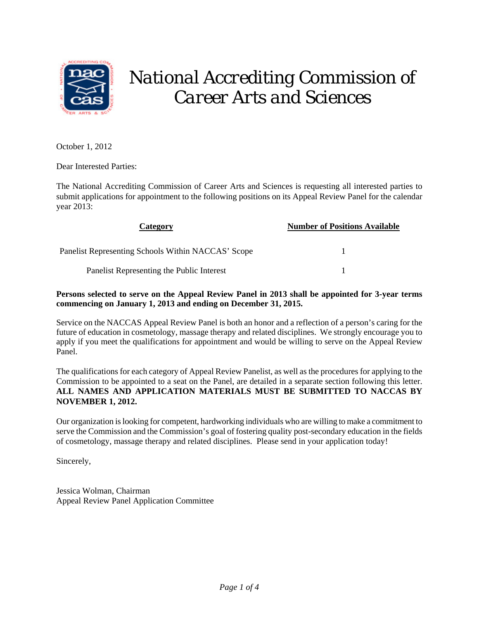

# *National Accrediting Commission of Career Arts and Sciences*

October 1, 2012

Dear Interested Parties:

The National Accrediting Commission of Career Arts and Sciences is requesting all interested parties to submit applications for appointment to the following positions on its Appeal Review Panel for the calendar year 2013:

| Category                                           | <b>Number of Positions Available</b> |
|----------------------------------------------------|--------------------------------------|
| Panelist Representing Schools Within NACCAS' Scope |                                      |
| Panelist Representing the Public Interest          |                                      |

# **Persons selected to serve on the Appeal Review Panel in 2013 shall be appointed for 3-year terms commencing on January 1, 2013 and ending on December 31, 2015.**

Service on the NACCAS Appeal Review Panel is both an honor and a reflection of a person's caring for the future of education in cosmetology, massage therapy and related disciplines. We strongly encourage you to apply if you meet the qualifications for appointment and would be willing to serve on the Appeal Review Panel.

The qualifications for each category of Appeal Review Panelist, as well as the procedures for applying to the Commission to be appointed to a seat on the Panel, are detailed in a separate section following this letter. **ALL NAMES AND APPLICATION MATERIALS MUST BE SUBMITTED TO NACCAS BY NOVEMBER 1, 2012.**

Our organization is looking for competent, hardworking individuals who are willing to make a commitment to serve the Commission and the Commission's goal of fostering quality post-secondary education in the fields of cosmetology, massage therapy and related disciplines. Please send in your application today!

Sincerely,

Jessica Wolman, Chairman Appeal Review Panel Application Committee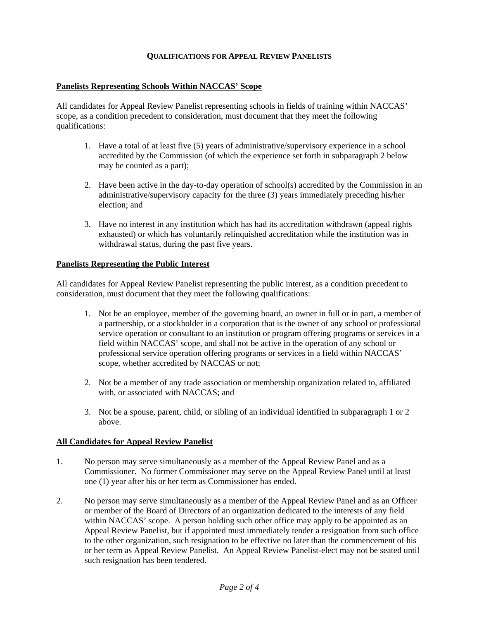# **QUALIFICATIONS FOR APPEAL REVIEW PANELISTS**

## **Panelists Representing Schools Within NACCAS' Scope**

All candidates for Appeal Review Panelist representing schools in fields of training within NACCAS' scope, as a condition precedent to consideration, must document that they meet the following qualifications:

- 1. Have a total of at least five (5) years of administrative/supervisory experience in a school accredited by the Commission (of which the experience set forth in subparagraph 2 below may be counted as a part);
- 2. Have been active in the day-to-day operation of school(s) accredited by the Commission in an administrative/supervisory capacity for the three (3) years immediately preceding his/her election; and
- 3. Have no interest in any institution which has had its accreditation withdrawn (appeal rights exhausted) or which has voluntarily relinquished accreditation while the institution was in withdrawal status, during the past five years.

#### **Panelists Representing the Public Interest**

All candidates for Appeal Review Panelist representing the public interest, as a condition precedent to consideration, must document that they meet the following qualifications:

- 1. Not be an employee, member of the governing board, an owner in full or in part, a member of a partnership, or a stockholder in a corporation that is the owner of any school or professional service operation or consultant to an institution or program offering programs or services in a field within NACCAS' scope, and shall not be active in the operation of any school or professional service operation offering programs or services in a field within NACCAS' scope, whether accredited by NACCAS or not;
- 2. Not be a member of any trade association or membership organization related to, affiliated with, or associated with NACCAS; and
- 3. Not be a spouse, parent, child, or sibling of an individual identified in subparagraph 1 or 2 above.

#### **All Candidates for Appeal Review Panelist**

- 1. No person may serve simultaneously as a member of the Appeal Review Panel and as a Commissioner. No former Commissioner may serve on the Appeal Review Panel until at least one (1) year after his or her term as Commissioner has ended.
- 2. No person may serve simultaneously as a member of the Appeal Review Panel and as an Officer or member of the Board of Directors of an organization dedicated to the interests of any field within NACCAS' scope. A person holding such other office may apply to be appointed as an Appeal Review Panelist, but if appointed must immediately tender a resignation from such office to the other organization, such resignation to be effective no later than the commencement of his or her term as Appeal Review Panelist. An Appeal Review Panelist-elect may not be seated until such resignation has been tendered.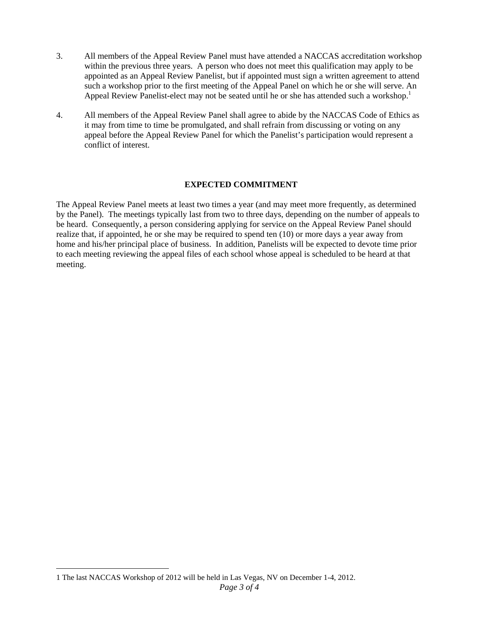- 3. All members of the Appeal Review Panel must have attended a NACCAS accreditation workshop within the previous three years. A person who does not meet this qualification may apply to be appointed as an Appeal Review Panelist, but if appointed must sign a written agreement to attend such a workshop prior to the first meeting of the Appeal Panel on which he or she will serve. An Appeal Review Panelist-elect may not be seated until he or she has attended such a workshop.<sup>1</sup>
- 4. All members of the Appeal Review Panel shall agree to abide by the NACCAS Code of Ethics as it may from time to time be promulgated, and shall refrain from discussing or voting on any appeal before the Appeal Review Panel for which the Panelist's participation would represent a conflict of interest.

# **EXPECTED COMMITMENT**

The Appeal Review Panel meets at least two times a year (and may meet more frequently, as determined by the Panel). The meetings typically last from two to three days, depending on the number of appeals to be heard. Consequently, a person considering applying for service on the Appeal Review Panel should realize that, if appointed, he or she may be required to spend ten (10) or more days a year away from home and his/her principal place of business. In addition, Panelists will be expected to devote time prior to each meeting reviewing the appeal files of each school whose appeal is scheduled to be heard at that meeting.

*Page 3 of 4*   $\overline{a}$ 1 The last NACCAS Workshop of 2012 will be held in Las Vegas, NV on December 1-4, 2012.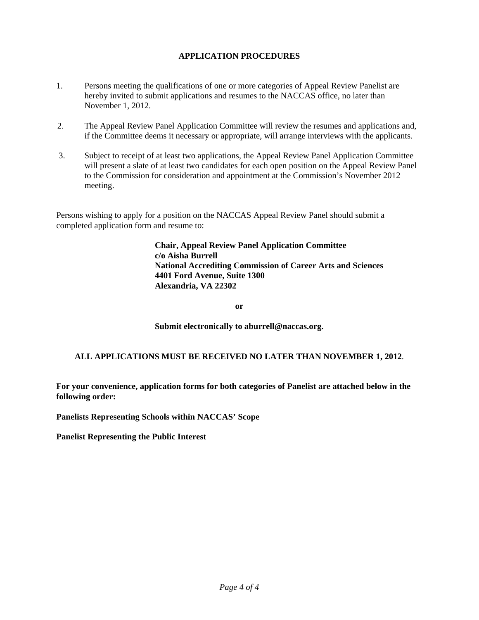# **APPLICATION PROCEDURES**

- 1. Persons meeting the qualifications of one or more categories of Appeal Review Panelist are hereby invited to submit applications and resumes to the NACCAS office, no later than November 1, 2012.
- 2. The Appeal Review Panel Application Committee will review the resumes and applications and, if the Committee deems it necessary or appropriate, will arrange interviews with the applicants.
- 3. Subject to receipt of at least two applications, the Appeal Review Panel Application Committee will present a slate of at least two candidates for each open position on the Appeal Review Panel to the Commission for consideration and appointment at the Commission's November 2012 meeting.

Persons wishing to apply for a position on the NACCAS Appeal Review Panel should submit a completed application form and resume to:

> **Chair, Appeal Review Panel Application Committee c/o Aisha Burrell National Accrediting Commission of Career Arts and Sciences 4401 Ford Avenue, Suite 1300 Alexandria, VA 22302**

> > **or**

**Submit electronically to aburrell@naccas.org.** 

# **ALL APPLICATIONS MUST BE RECEIVED NO LATER THAN NOVEMBER 1, 2012**.

**For your convenience, application forms for both categories of Panelist are attached below in the following order:** 

**Panelists Representing Schools within NACCAS' Scope** 

**Panelist Representing the Public Interest**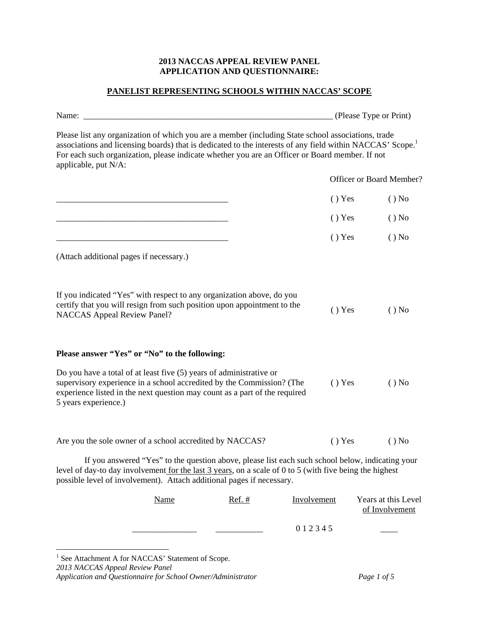# **2013 NACCAS APPEAL REVIEW PANEL APPLICATION AND QUESTIONNAIRE:**

# **PANELIST REPRESENTING SCHOOLS WITHIN NACCAS' SCOPE**

|                                                                                                                                                                                                                                                                                                                                                       |          |             | (Please Type or Print)                |
|-------------------------------------------------------------------------------------------------------------------------------------------------------------------------------------------------------------------------------------------------------------------------------------------------------------------------------------------------------|----------|-------------|---------------------------------------|
| Please list any organization of which you are a member (including State school associations, trade<br>associations and licensing boards) that is dedicated to the interests of any field within NACCAS' Scope. <sup>1</sup><br>For each such organization, please indicate whether you are an Officer or Board member. If not<br>applicable, put N/A: |          |             |                                       |
|                                                                                                                                                                                                                                                                                                                                                       |          |             | Officer or Board Member?              |
|                                                                                                                                                                                                                                                                                                                                                       |          | $()$ Yes    | $()$ No                               |
|                                                                                                                                                                                                                                                                                                                                                       |          | $()$ Yes    | $()$ No                               |
|                                                                                                                                                                                                                                                                                                                                                       |          | () Yes      | $()$ No                               |
| (Attach additional pages if necessary.)                                                                                                                                                                                                                                                                                                               |          |             |                                       |
| If you indicated "Yes" with respect to any organization above, do you<br>certify that you will resign from such position upon appointment to the<br><b>NACCAS Appeal Review Panel?</b>                                                                                                                                                                |          | $()$ Yes    | $()$ No                               |
| Please answer "Yes" or "No" to the following:                                                                                                                                                                                                                                                                                                         |          |             |                                       |
| Do you have a total of at least five (5) years of administrative or<br>supervisory experience in a school accredited by the Commission? (The<br>experience listed in the next question may count as a part of the required<br>5 years experience.)                                                                                                    |          | () Yes      | $()$ No                               |
| Are you the sole owner of a school accredited by NACCAS?                                                                                                                                                                                                                                                                                              |          | () Yes      | $()$ No                               |
| If you answered "Yes" to the question above, please list each such school below, indicating your<br>level of day-to day involvement <u>for the last 3 years</u> , on a scale of 0 to 5 (with five being the highest<br>possible level of involvement). Attach additional pages if necessary.                                                          |          |             |                                       |
| <b>Name</b>                                                                                                                                                                                                                                                                                                                                           | $Ref.$ # | Involvement | Years at this Level<br>of Involvement |
|                                                                                                                                                                                                                                                                                                                                                       |          | 012345      |                                       |

*2013 NACCAS Appeal Review Panel Application and Questionnaire for School Owner/Administrator Page 1 of 5* <sup>1</sup> See Attachment A for NACCAS' Statement of Scope.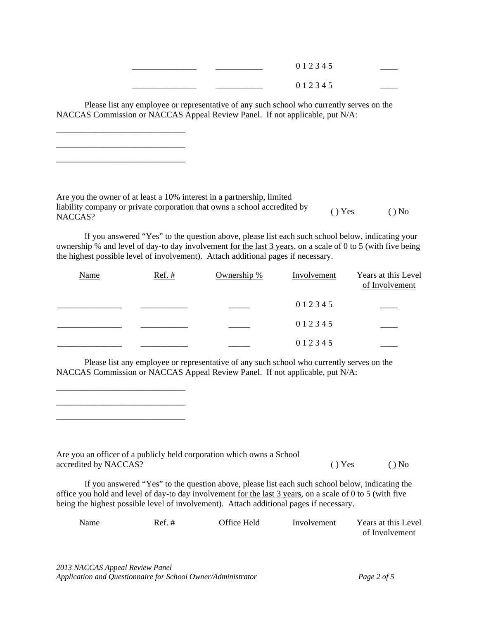| _____________________ | ______________  | 0 1 2 3 4 5 |  |
|-----------------------|-----------------|-------------|--|
| _____________________ | _______________ | 0 1 2 3 4 5 |  |

Please list any employee or representative of any such school who currently serves on the NACCAS Commission or NACCAS Appeal Review Panel. If not applicable, put N/A:

\_\_\_\_\_\_\_\_\_\_\_\_\_\_\_\_\_\_\_\_\_\_\_\_\_\_\_\_\_\_ \_\_\_\_\_\_\_\_\_\_\_\_\_\_\_\_\_\_\_\_\_\_\_\_\_\_\_\_\_\_ \_\_\_\_\_\_\_\_\_\_\_\_\_\_\_\_\_\_\_\_\_\_\_\_\_\_\_\_\_\_

\_\_\_\_\_\_\_\_\_\_\_\_\_\_\_\_\_\_\_\_\_\_\_\_\_\_\_\_\_\_ \_\_\_\_\_\_\_\_\_\_\_\_\_\_\_\_\_\_\_\_\_\_\_\_\_\_\_\_\_\_ \_\_\_\_\_\_\_\_\_\_\_\_\_\_\_\_\_\_\_\_\_\_\_\_\_\_\_\_\_\_

Are you the owner of at least a 10% interest in a partnership, limited liability company or private corporation that owns a school accredited by  $( )$  Yes  $( )$  No

If you answered "Yes" to the question above, please list each such school below, indicating your ownership % and level of day-to day involvement for the last 3 years, on a scale of 0 to 5 (with five being the highest possible level of involvement). Attach additional pages if necessary.

| <b>Name</b> | Ref. # | Ownership $%$ | Involvement | Years at this Level<br>of Involvement |
|-------------|--------|---------------|-------------|---------------------------------------|
|             |        |               | 0 1 2 3 4 5 |                                       |
|             |        |               | 012345      |                                       |
|             |        |               | 0 1 2 3 4 5 |                                       |

Please list any employee or representative of any such school who currently serves on the NACCAS Commission or NACCAS Appeal Review Panel. If not applicable, put N/A:

Are you an officer of a publicly held corporation which owns a School accredited by NACCAS? ( ) Yes ( ) No

If you answered "Yes" to the question above, please list each such school below, indicating the office you hold and level of day-to day involvement for the last 3 years, on a scale of 0 to 5 (with five being the highest possible level of involvement). Attach additional pages if necessary.

| Name | $Ref. \#$ | Office Held | Involvement | Years at this Level |
|------|-----------|-------------|-------------|---------------------|
|      |           |             |             | of Involvement      |

*2013 NACCAS Appeal Review Panel Application and Questionnaire for School Owner/Administrator Page 2 of 5*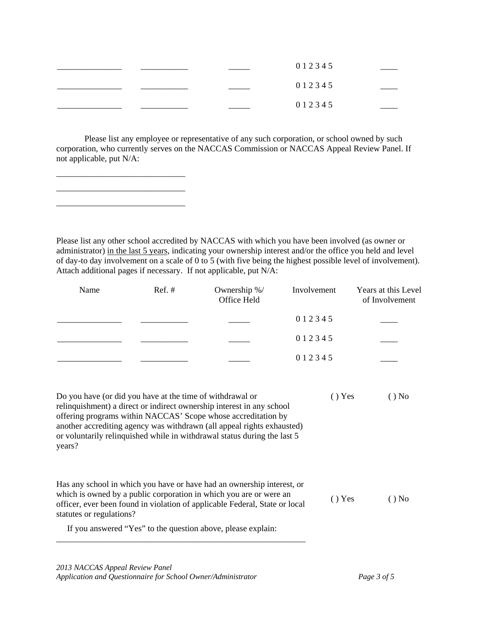|  | 0 1 2 3 4 5 |  |
|--|-------------|--|
|  | 0 1 2 3 4 5 |  |
|  | 0 1 2 3 4 5 |  |

Please list any employee or representative of any such corporation, or school owned by such corporation, who currently serves on the NACCAS Commission or NACCAS Appeal Review Panel. If not applicable, put N/A:

Please list any other school accredited by NACCAS with which you have been involved (as owner or administrator) in the last 5 years, indicating your ownership interest and/or the office you held and level of day-to day involvement on a scale of 0 to 5 (with five being the highest possible level of involvement). Attach additional pages if necessary. If not applicable, put N/A:

| Name                                                                | $Ref. \#$ | Ownership %/<br>Office Held                                                                                                                                                                                                                                                                  | Involvement | Years at this Level<br>of Involvement |
|---------------------------------------------------------------------|-----------|----------------------------------------------------------------------------------------------------------------------------------------------------------------------------------------------------------------------------------------------------------------------------------------------|-------------|---------------------------------------|
|                                                                     |           |                                                                                                                                                                                                                                                                                              | 012345      |                                       |
|                                                                     |           |                                                                                                                                                                                                                                                                                              | 012345      |                                       |
|                                                                     |           |                                                                                                                                                                                                                                                                                              | 012345      |                                       |
| Do you have (or did you have at the time of withdrawal or<br>years? |           | relinquishment) a direct or indirect ownership interest in any school<br>offering programs within NACCAS' Scope whose accreditation by<br>another accrediting agency was withdrawn (all appeal rights exhausted)<br>or voluntarily relinquished while in withdrawal status during the last 5 | () Yes      | $()$ No                               |
| statutes or regulations?                                            |           | Has any school in which you have or have had an ownership interest, or<br>which is owned by a public corporation in which you are or were an<br>officer, ever been found in violation of applicable Federal, State or local<br>If you answered "Yes" to the question above, please explain:  | $()$ Yes    | $()$ No                               |

\_\_\_\_\_\_\_\_\_\_\_\_\_\_\_\_\_\_\_\_\_\_\_\_\_\_\_\_\_\_ \_\_\_\_\_\_\_\_\_\_\_\_\_\_\_\_\_\_\_\_\_\_\_\_\_\_\_\_\_\_ \_\_\_\_\_\_\_\_\_\_\_\_\_\_\_\_\_\_\_\_\_\_\_\_\_\_\_\_\_\_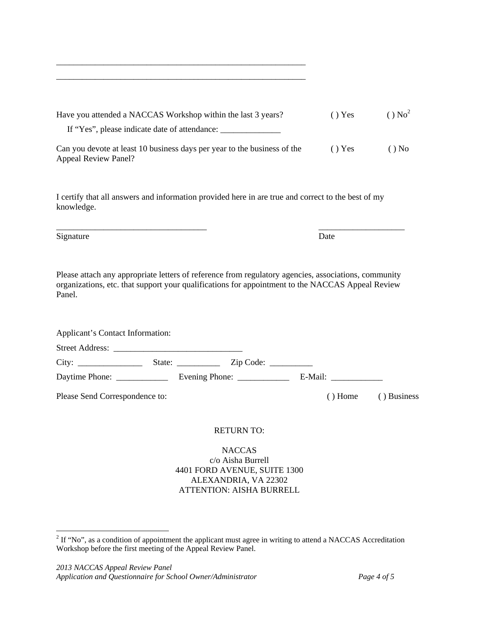| Have you attended a NACCAS Workshop within the last 3 years?                                            | () Yes | $()$ No <sup>2</sup> |
|---------------------------------------------------------------------------------------------------------|--------|----------------------|
| If "Yes", please indicate date of attendance:                                                           |        |                      |
| Can you devote at least 10 business days per year to the business of the<br><b>Appeal Review Panel?</b> | () Yes | $()$ No              |

\_\_\_\_\_\_\_\_\_\_\_\_\_\_\_\_\_\_\_\_\_\_\_\_\_\_\_\_\_\_\_\_\_\_\_\_\_\_\_\_\_\_\_\_\_\_\_\_\_\_\_\_\_\_\_\_\_\_ \_\_\_\_\_\_\_\_\_\_\_\_\_\_\_\_\_\_\_\_\_\_\_\_\_\_\_\_\_\_\_\_\_\_\_\_\_\_\_\_\_\_\_\_\_\_\_\_\_\_\_\_\_\_\_\_\_\_

I certify that all answers and information provided here in are true and correct to the best of my knowledge.

Signature

 $\overline{a}$ 

\_\_\_\_\_\_\_\_\_\_\_\_\_\_\_\_\_\_\_\_\_\_\_\_\_\_\_\_\_\_\_\_\_\_\_

Please attach any appropriate letters of reference from regulatory agencies, associations, community organizations, etc. that support your qualifications for appointment to the NACCAS Appeal Review Panel.

| Applicant's Contact Information: |                                                         |  |                          |             |
|----------------------------------|---------------------------------------------------------|--|--------------------------|-------------|
|                                  |                                                         |  |                          |             |
|                                  |                                                         |  |                          |             |
| Daytime Phone: _______________   | Evening Phone: $\_\_\_\_\_\_\_\_\_\_\_\_\_\_\_\_\_\_\_$ |  | E-Mail: ________________ |             |
| Please Send Correspondence to:   |                                                         |  | () Home                  | () Business |

# RETURN TO:

**NACCAS** c/o Aisha Burrell 4401 FORD AVENUE, SUITE 1300 ALEXANDRIA, VA 22302 ATTENTION: AISHA BURRELL

\_\_\_\_\_\_\_\_\_\_\_\_\_\_\_\_\_\_\_\_

Date

 $2^2$  If "No", as a condition of appointment the applicant must agree in writing to attend a NACCAS Accreditation Workshop before the first meeting of the Appeal Review Panel.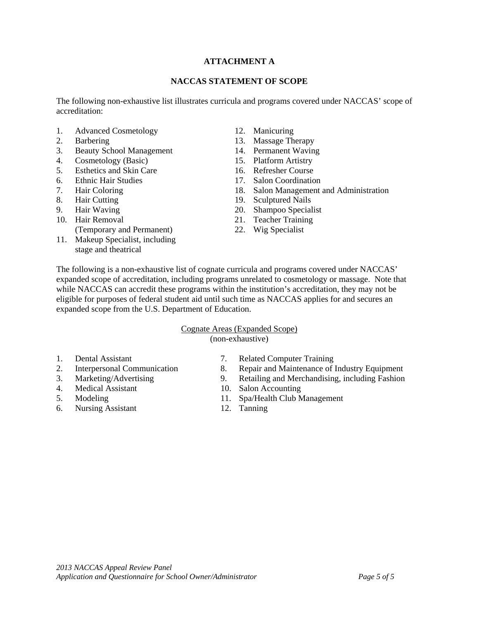# **ATTACHMENT A**

#### **NACCAS STATEMENT OF SCOPE**

The following non-exhaustive list illustrates curricula and programs covered under NACCAS' scope of accreditation:

- 1. Advanced Cosmetology 12. Manicuring
- 
- 3. Beauty School Management 14. Permanent Waving
- 4. Cosmetology (Basic) 15. Platform Artistry<br>5. Esthetics and Skin Care 16. Refresher Course
- 5. Esthetics and Skin Care
- 6. Ethnic Hair Studies 17. Salon Coordination
- 
- 
- 
- 
- (Temporary and Permanent) 22. Wig Specialist
- 11. Makeup Specialist, including stage and theatrical
- 
- 2. Barbering 13. Massage Therapy
	-
	-
	-
	-
- 7. Hair Coloring 18. Salon Management and Administration
- 8. Hair Cutting 19. Sculptured Nails
- 9. Hair Waving 20. Shampoo Specialist<br>
10. Hair Removal 21. Teacher Training
	- 21. Teacher Training
	-

The following is a non-exhaustive list of cognate curricula and programs covered under NACCAS' expanded scope of accreditation, including programs unrelated to cosmetology or massage. Note that while NACCAS can accredit these programs within the institution's accreditation, they may not be eligible for purposes of federal student aid until such time as NACCAS applies for and secures an expanded scope from the U.S. Department of Education.

# Cognate Areas (Expanded Scope)

(non-exhaustive)

- 
- 
- 
- 
- 
- 6. Nursing Assistant 12. Tanning
- 1. Dental Assistant 7. Related Computer Training
- 2. Interpersonal Communication 8. Repair and Maintenance of Industry Equipment
- 3. Marketing/Advertising 9. Retailing and Merchandising, including Fashion 4. Medical Assistant 10. Salon Accounting
- 4. Medical Assistant 10. Salon Accounting
- 5. Modeling 11. Spa/Health Club Management
	-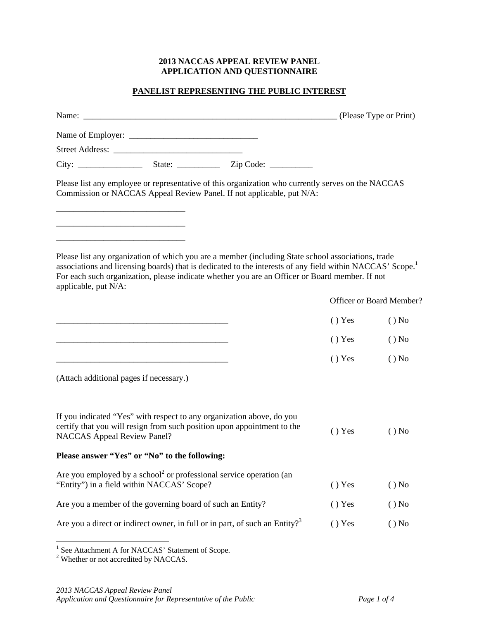# **2013 NACCAS APPEAL REVIEW PANEL APPLICATION AND QUESTIONNAIRE**

# **PANELIST REPRESENTING THE PUBLIC INTEREST**

|                                    |                                                            | Please list any employee or representative of this organization who currently serves on the NACCAS<br>Commission or NACCAS Appeal Review Panel. If not applicable, put N/A:                                                                                                                                                   |          |                          |
|------------------------------------|------------------------------------------------------------|-------------------------------------------------------------------------------------------------------------------------------------------------------------------------------------------------------------------------------------------------------------------------------------------------------------------------------|----------|--------------------------|
| applicable, put N/A:               |                                                            | Please list any organization of which you are a member (including State school associations, trade<br>associations and licensing boards) that is dedicated to the interests of any field within NACCAS' Scope. <sup>1</sup><br>For each such organization, please indicate whether you are an Officer or Board member. If not |          |                          |
|                                    |                                                            |                                                                                                                                                                                                                                                                                                                               |          | Officer or Board Member? |
|                                    |                                                            |                                                                                                                                                                                                                                                                                                                               | $()$ Yes | $()$ No                  |
|                                    |                                                            |                                                                                                                                                                                                                                                                                                                               | () Yes   | $()$ No                  |
|                                    |                                                            |                                                                                                                                                                                                                                                                                                                               | () Yes   | $()$ No                  |
|                                    | (Attach additional pages if necessary.)                    |                                                                                                                                                                                                                                                                                                                               |          |                          |
| <b>NACCAS</b> Appeal Review Panel? |                                                            | If you indicated "Yes" with respect to any organization above, do you<br>certify that you will resign from such position upon appointment to the                                                                                                                                                                              | $()$ Yes | $()$ No                  |
|                                    | Please answer "Yes" or "No" to the following:              |                                                                                                                                                                                                                                                                                                                               |          |                          |
|                                    | "Entity") in a field within NACCAS' Scope?                 | Are you employed by a school <sup>2</sup> or professional service operation (an                                                                                                                                                                                                                                               | () Yes   | $()$ No                  |
|                                    | Are you a member of the governing board of such an Entity? |                                                                                                                                                                                                                                                                                                                               | () Yes   | $()$ No                  |
|                                    |                                                            | Are you a direct or indirect owner, in full or in part, of such an Entity? <sup>3</sup>                                                                                                                                                                                                                                       | () Yes   | $()$ No                  |

<sup>&</sup>lt;sup>1</sup> See Attachment A for NACCAS' Statement of Scope.<sup>2</sup> Whether or not accredited by NACCAS.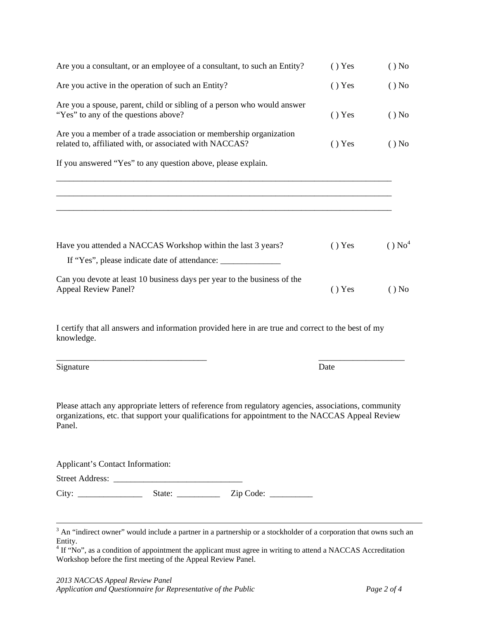| Are you a spouse, parent, child or sibling of a person who would answer<br>"Yes" to any of the questions above?                                                                                                                                                                                                                       | () Yes | $()$ No              |
|---------------------------------------------------------------------------------------------------------------------------------------------------------------------------------------------------------------------------------------------------------------------------------------------------------------------------------------|--------|----------------------|
| Are you a member of a trade association or membership organization<br>related to, affiliated with, or associated with NACCAS?                                                                                                                                                                                                         | () Yes | $()$ No              |
| If you answered "Yes" to any question above, please explain.                                                                                                                                                                                                                                                                          |        |                      |
|                                                                                                                                                                                                                                                                                                                                       |        |                      |
| Have you attended a NACCAS Workshop within the last 3 years?                                                                                                                                                                                                                                                                          | () Yes | $()$ No <sup>4</sup> |
| If "Yes", please indicate date of attendance: ___________________________________                                                                                                                                                                                                                                                     |        |                      |
| Can you devote at least 10 business days per year to the business of the<br><b>Appeal Review Panel?</b>                                                                                                                                                                                                                               | () Yes | $()$ No              |
| I certify that all answers and information provided here in are true and correct to the best of my<br>knowledge.                                                                                                                                                                                                                      |        |                      |
| Signature                                                                                                                                                                                                                                                                                                                             | Date   |                      |
| Please attach any appropriate letters of reference from regulatory agencies, associations, community<br>organizations, etc. that support your qualifications for appointment to the NACCAS Appeal Review<br>Panel.                                                                                                                    |        |                      |
| Applicant's Contact Information:                                                                                                                                                                                                                                                                                                      |        |                      |
|                                                                                                                                                                                                                                                                                                                                       |        |                      |
|                                                                                                                                                                                                                                                                                                                                       |        |                      |
| <sup>3</sup> An "indirect owner" would include a partner in a partnership or a stockholder of a corporation that owns such an<br>Entity.<br><sup>4</sup> If "No", as a condition of appointment the applicant must agree in writing to attend a NACCAS Accreditation<br>Workshop before the first meeting of the Appeal Review Panel. |        |                      |

Are you a consultant, or an employee of a consultant, to such an Entity? ( ) Yes ( ) No

Are you active in the operation of such an Entity? ( ) Yes ( ) No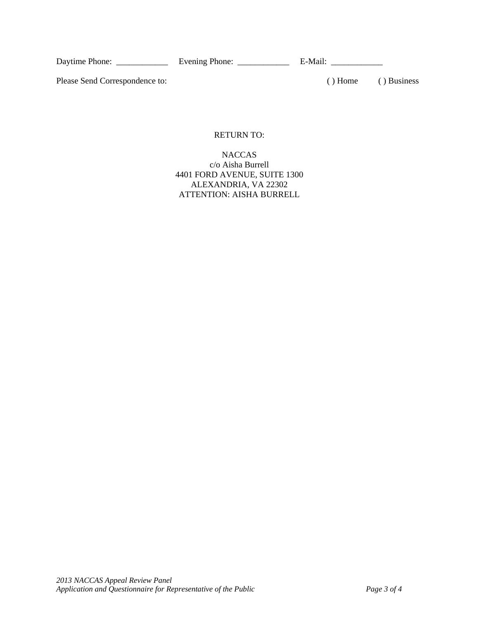Daytime Phone: \_\_\_\_\_\_\_\_\_\_\_\_ Evening Phone: \_\_\_\_\_\_\_\_\_\_\_\_ E-Mail: \_\_\_\_\_\_\_\_\_\_\_\_

Please Send Correspondence to: (a) Home (b) Business (c) Business

# RETURN TO:

# **NACCAS** c/o Aisha Burrell 4401 FORD AVENUE, SUITE 1300 ALEXANDRIA, VA 22302 ATTENTION: AISHA BURRELL